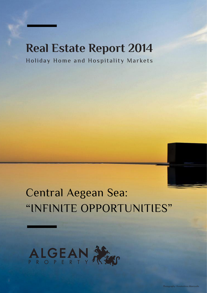# **Real Estate Report 2014**

Holiday Home and Hospitality Markets

# Central Aegean Sea: "INFINITE OPPORTUNITIES"

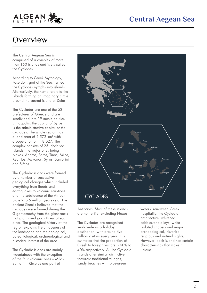

#### **Overview**

The Central Aegean Sea is comprised of a complex of more than 150 islands and islets called the Cyclades.

According to Greek Mythology, Poseidon, god of the Sea, turned the Cyclades nymphs into islands. Alternatively, the name refers to the islands forming an imaginary circle around the sacred island of Delos.

The Cyclades are one of the 52 prefectures of Greece and are subdivided into 19 municipalities. Ermoupolis, the capital of Syros, is the administrative capital of the Cyclades. The whole region has a land area of 2,572 km2 with a population of 118,027. The complex consists of 25 inhabited islands, the major ones being Naxos, Andros, Paros, Tinos, Milos, Kea, Ios, Mykonos, Syros, Santorini and Sifnos.

The Cycladic islands were formed by a number of successive geological changes which included everything from floods and earthquakes to volcanic eruptions and the subsidence of the African plate 2 to 5 million years ago. The ancient Greeks believed that the Cyclades were formed during the Gigantomachy from the giant rocks that giants and gods threw at each other. The geological history of the region explains the uniqueness of the landscape and the geological, paleontological, archaeological and historical interest of the area.

The Cycladic islands are mainly mountainous with the exception of the four volcanic ones – Milos, Santorini, Kimolos and part of



Antiparos. Most of these islands are not fertile, excluding Naxos.

The Cyclades are recognised worldwide as a holiday destination, with around five million visitors every year. It is estimated that the proportion of Greek to foreign visitors is 60% to 40% respectively. All the Cycladic islands offer similar distinctive features; traditional villages, sandy beaches with blue-green

waters, renowned Greek hospitality, the Cycladic architecture, whitened cobblestone alleys, white isolated chapels and major archaeological, historical, religious and natural sights. However, each island has certain characteristics that make it unique.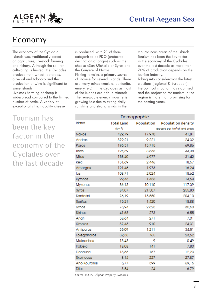



#### Economy

The economy of the Cycladic islands was traditionally based on agriculture, livestock farming and fishery. Although the soil for cultivating is limited, the Cyclades produce fruit, wheat, potatoes, olive oil and tobacco and the production of wine is significant to some islands.

Livestock farming of sheep is widespread compared to the limited number of cattle. A variety of exceptionally high quality cheese

Tourism has been the key factor in the economy of the Cyclades over the last decade

is produced, with 21 of them categorised as PDO (protected destination of origin) such as the cheese «San Michali» of Syros and the Gruyere of Naxos.

Fishing remains a primary source of income for several islands. There are many mines (marble, bentonite, emery, etc) in the Cyclades as most of the islands are rich in minerals. The renewable energy industry is growing fast due to strong daily sunshine and strong winds in the

mountainous areas of the islands. Tourism has been the key factor in the economy of the Cyclades over the last decade as more than 70% of production depends on the tourism industry.

Taking into consideration the latest elections (regional & European), the political situation has stabilised and the projection for tourism in the region is more than promising for the coming years.

| Demographic   |                    |            |                                           |  |  |  |  |  |
|---------------|--------------------|------------|-------------------------------------------|--|--|--|--|--|
| Island        | <b>Total Land</b>  | Population | Population density                        |  |  |  |  |  |
|               | (km <sup>2</sup> ) |            | (people per km <sup>2</sup> of land area) |  |  |  |  |  |
| <b>Naxos</b>  | 429,79             | 17.970     | 41,81                                     |  |  |  |  |  |
| Andros        | 379,21             | 9.221      | 24,32                                     |  |  |  |  |  |
| Paros         | 196,31             | 13.715     | 69,86                                     |  |  |  |  |  |
| Tinos         | 194,59             | 8.636      | 44,38                                     |  |  |  |  |  |
| Milos         | 158,40             | 4.977      | 31,42                                     |  |  |  |  |  |
| Kea           | 131,69             | 2.446      | 18,57                                     |  |  |  |  |  |
| Amorgos       | 121,46             | 1.973      | 16,24                                     |  |  |  |  |  |
| los           | 108,71             | 2.024      | 18,62                                     |  |  |  |  |  |
| Kythnos       | 99,43              | 1.456      | 14,64                                     |  |  |  |  |  |
| Mykonos       | 86,13              | 10.110     | 117,39                                    |  |  |  |  |  |
| <b>Syros</b>  | 84,07              | 21.507     | 255,83                                    |  |  |  |  |  |
| Santorini     | 76,19              | 15.550     | 204,10                                    |  |  |  |  |  |
| Serifos       | 75,21              | 1.420      | 18,88                                     |  |  |  |  |  |
| Sifnos        | 73,94              | 2.625      | 35,50                                     |  |  |  |  |  |
| Sikinos       | 41,68              | 273        | 6,55                                      |  |  |  |  |  |
| Anafi         | 38,64              | 271        | 7,01                                      |  |  |  |  |  |
| Kimolos       | 37,43              | 910        | 24,31                                     |  |  |  |  |  |
| Antiparos     | 35,09              | 1.211      | 34,51                                     |  |  |  |  |  |
| Folegandros   | 32,38              | 765        | 23,62                                     |  |  |  |  |  |
| Makronisos    | 18,43              | 9          | 0,49                                      |  |  |  |  |  |
| Irakleia      | 18,08              | 141        | 7,80                                      |  |  |  |  |  |
| Donousa       | 13,65              | 167        | 12,23                                     |  |  |  |  |  |
| Sxoinousa     | 8,14               | 227        | 27,87                                     |  |  |  |  |  |
| Ano Koufonisi | 5,77               | 399        | 69,15                                     |  |  |  |  |  |
| <b>Dilos</b>  | 3,54               | 24         | 6,79                                      |  |  |  |  |  |

Source: ELSTAT, Algean Property Research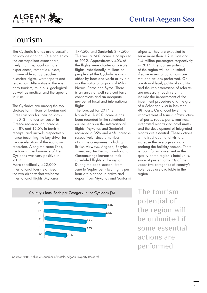

ALGEAN

The Cycladic islands are a versatile holiday destination. One can enjoy the cosmopolitan atmosphere, lively nightlife, local culinary experiences, romantic sunsets, innumerable sandy beaches, historical sights, water sports and relaxation. Alternatively, there is agro tourism, religious, geological as well as medical and therapeutic tourism.

The Cyclades are among the top choices for millions of foreign and Greek visitors for their holidays. In 2013, the tourism sector in Greece recorded an increase of 18% and 15.5% in tourism receipts and arrivals respectively, hence becoming the key driver for the deceleration of the economic recession. Along the same lines, the tourism performance of the Cyclades was very positive in 2013.

More specifically, 422,000 international tourists arrived in the two airports that welcome international flights -Mykonos:

177,500 and Santorini: 244,500. This was a 24% increase compared to 2012. Approximately 40% of the flights were charter or private flights. Additionally, millions of people visit the Cycladic islands either by boat and yacht or by air via the national airports of Milos, Naxos, Paros and Syros. There is an array of well serviced ferry connections and an adequate number of local and international flights.

The forecast for 2014 is favorable. A 62% increase has been recorded in the scheduled airline seats on the international flights; Mykonos and Santorini recorded a 85% and 46% increase respectively, since a number of airline companies including British Airways, Aegean, EasyJet, Transavia, Air Berlin, Condor and Germanwings increased their scheduled flights to the region. During the peak season - from June to September - two flights per hour are planned to arrive and depart from Mykonos and Santorini Conso. adjointment

airports. They are expected to serve more than 1.2 million and 1.4 million passengers respectively in 2014. The tourism potential of the region will be unlimited if some essential conditions are met and actions performed. On a national level, political stability and the implementation of reforms are necessary. Such reforms include the improvement of the investment procedure and the grant of a Schengen visa in less than 48 hours. On a local level, the improvement of tourist infrastructure - airports, roads, ports, marinas, integrated resorts and hotel units and the development of integrated resorts are essential. These actions will attract additional visitors, increase the average stay and prolong the holiday season. There is room for improvement in the quality of the region's hotel units, since at present only 5% of the upper two categories of country's hotel beds are available in the region.

The tourism potential of the region will be unlimited if some essential actions are performed





Source: SETE, Hellenic Chamber of Hotels, Algean Property Research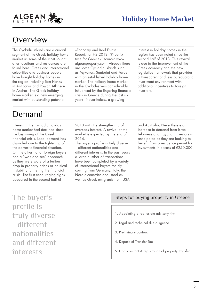



ALGEAN

The Cycladic islands are a crucial segment of the Greek holiday home market as some of the most sought after locations and residences are found here. Greek and international celebrities and business people have bought holiday homes in the region including Tom Hanks in Antiparos and Rowan Atkinson in Andros. The Greek holiday home market is a new emerging market with outstanding potential

#### Demand

Interest in the Cycladic holiday home market had declined since the beginning of the Greek financial crisis. Local demand has dwindled due to the tightening of the domestic financial situation. On the other hand, foreign buyers had a "wait and see" approach as they were wary of a further drop in property prices or political instability furthering the financial crisis. The first encouraging signs appeared in the second half of

–Economy and Real Estate Report, for H2 2013: 'Phoenix time for Greece?' source: www. algeanproperty.com. Already there are some Cycladic islands such as Mykonos, Santorini and Paros with an established holiday home market. The holiday home market in the Cyclades was considerably influenced by the lingering financial crisis in Greece during the last six years. Nevertheless, a growing

interest in holiday homes in the region has been noted since the second half of 2013. This revival is due to the improvement of the Greek economy and the new legislative framework that provides a transparent and less bureaucratic investment environment with additional incentives to foreign investors.

2013 with the strengthening of overseas interest. A revival of the market is expected by the end of 2014.

The buyer's profile is truly diverse – different nationalities and different interests. In the past years a large number of transactions have been completed by a variety of international buyers mainly coming from Germany, Italy, the Nordic countries and Israel as well as Greek emigrants from USA

and Australia. Nevertheless an increase in demand from Israeli, Lebanese and Egyptian investors is anticipated as they are looking to benefit from a residence permit for investments in excess of €250,000.

The buyer's profile is truly diverse - different nationalities and different interests

#### Steps for buying property in Greece

- 1. Appointing a real estate advisory firm
- 2. Legal and technical due diligence
- 3. Preliminary contract
- 4. Deposit of Transfer Tax
- 5. Final contract & registration of property transfer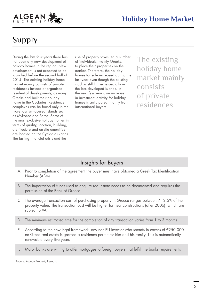

# Supply

During the last four years there has not been any new development of holiday homes in the region. New development is not expected to be launched before the second half of 2014. The existing holiday home market mainly consists of private residences instead of organised residential developments; as many Greeks had built their holiday home in the Cyclades. Residence complexes can be found only in the more tourism-focused islands such as Mykonos and Paros. Some of the most exclusive holiday homes in terms of quality, location, building, architecture and on-site amenities are located on the Cycladic islands. The lasting financial crisis and the

rise of property taxes led a number of individuals, mainly Greeks, to place their properties on the market. Therefore, the holiday homes for sale increased during the last year even though the existing stock is still limited especially in the less developed islands. In the next few years, an increase in investment activity for holiday homes is anticipated, mainly from international buyers.

The existing holiday home market mainly consists of private residences

#### Insights for Buyers

- Prior to completion of the agreement the buyer must have obtained a Greek Tax Identification Number (AFM) A.
- The importation of funds used to acquire real estate needs to be documented and requires the permission of the Bank of Greece B.
- C. The average transaction cost of purchasing property in Greece ranges between 7-12.5% of the property value. The transaction cost will be higher for new constructions (after 2006), which are subject to VAT
- The minimum estimated time for the completion of any transaction varies from 1 to 3 months D.
- According to the new legal framework, any non-EU investor who spends in excess of €250,000 on Greek real estate is granted a residence permit for him and his family. This is automatically renewable every five years E.
- Major banks are willing to offer mortgages to foreign buyers that fulfill the banks requirements F.

Source: Algean Property Research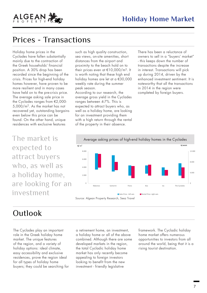

Holiday home prices in the Cyclades have fallen substantially mainly due to the contraction of the Greek households' financial position. A 30% drop has been recorded since the beginning of the crisis. Prices for high-end holiday homes however, have proven to be more resilient and in many cases have held on to the pre-crisis price. The average asking sale price in the Cyclades ranges from €2,000- 5,000/m2. As the market has not recovered yet, outstanding bargains even below this price can be found. On the other hand, unique residences with exclusive features

ALGEAN

The market is expected to attract buyers who, as well as a holiday home, are looking for an investment

such as high quality construction, sea views, on-site amenities, short distances from the airport and proximity to the beach hold on to their prices even at €10,000/m2. It is worth noting that these high end holiday homes are let at a €30,000 weekly rate during the summer peak season.

According to our research, the average gross yield in the Cyclades ranges between 4-7%. This is expected to attract buyers who, as well as a holiday home, are looking for an investment providing them with a high return through the rental of the property in their absence.

There has been a reluctance of owners to sell in a "buyers' market" - this keeps down the number of transactions despite the increase in interest. Transactions will pick up during 2014, driven by the enhanced investment sentiment. It is noteworthy that all the transactions in 2014 in the region were completed by foreign buyers.



#### **Outlook**

The Cyclades play an important role in the Greek holiday home market. The unique features of the region, and a variety of holiday options: ideal climate, easy accessibility and exclusive residences, prove the region ideal for all types of holiday home buyers; they could be searching for a retirement home, an investment, a holiday home or all of the above combined. Although there are some developed markets in the region, the total Cycladic holiday home market has only recently become appealing to foreign investors looking to benefit from the new investment - friendly legislative

framework. The Cycladic holiday home market offers numerous opportunities to investors from all around the world, being that it is a rising tourist destination.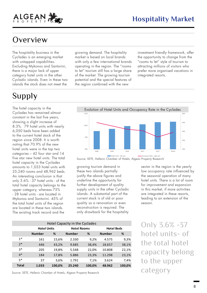

#### **Overview**

The hospitality business in the Cyclades is an emerging market with untapped capabilities. Excluding Mykonos and Santorini, there is a major lack of upper category hotel units in the other Cycladic islands. Even in these two islands the stock does not meet the

# Supply

The hotel capacity in the Cyclades has remained almost constant in the last five years, showing a slight increase of 8.3%. 79 hotel units with nearly 6,050 beds have been added to the current hotel stock of the region since 2008. It is worth noting that 70.9% of the new hotel units were in the top two categories – 42 four star and 14 five star new hotel units. The total hotel capacity in the Cyclades amounts to 1,033 hotel units with 25,240 rooms and 48,962 beds. An interesting conclusion is that only 3.6% - 37 hotel units - of the total hotel capacity belongs to the upper category, whereas 75% - 28 hotel units - are located in Mykonos and Santorini. 45% of the total hotel units of the region are located in these two islands. The existing track record and the

growing demand. The hospitality market is based on local brands with only a few international brands operating in the region. The "rooms to let" tourism still has a large share of the market. The growing tourism potential and the special features of the region combined with the new

investment friendly framework, offer the opportunity to change from the "rooms to let" style of tourism to attracting millions of visitors who prefer more organised vacations in integrated resorts.



Source: SETE, Hellenic Chamber of Hotels, Algean Property Research

growing tourism demand in these two islands partially justify the above figures and underline the opportunity for further development of quality supply units in the other Cycladic islands. A substantial part of the current stock is of old or poor quality so a renovation or even reconstruction is required. The only drawback for the hospitality

sector in the region is the yearly low occupancy rate influenced by the seasonal operation of many hotel units. There is a lot of room for improvement and expansion in this market, if more activities are integrated in these resorts, leading to an extension of the season.

Only 3.6% -37 hotel units- of the total hotel capacity belong to the upper category

**Number % Number % Number %**  1\* 161 15,6% 2.330 9,2% 4.575 9,3% 2\* 446 43,2% 9.685 38,4% 18.657 38,1% 3\* 205 19,8% 5.548 22,0% 10.808 22,1% 4\* 184 17,8% 5.886 23,3% 11.298 23,1% 5\* 37 3,6% 1.791 7,1% 3.624 7,4% **Total 1.033 100,0% 25.240 100,0% 48.962 100,0%** Hotel Capacity in the Cyclades **Hotel Units Hotel Rooms Hotel Beds**

Source: SETE, Hellenic Chamber of Hotels, Algean Property Research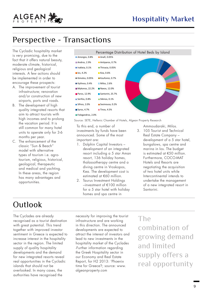## Perspective - Transactions

The Cycladic hospitality market is very promising, due to the fact that it offers natural beauty, moderate climate, historical, religious and geological interests. A few actions should be implemented in order to encourage these prospects:

ALGEAN

- A. The improvement of tourist infrastructure; renovation and/or construction of new airports, ports and roads.
- B. The development of high quality integrated resorts that aim to attract tourists with high incomes and to prolong the vacation period. It is still common for many hotel units to operate only for 3-6 months per year.
- C. The enhancement of the classic "Sun & Beach" model with alternative types of tourism i.e. agrotourism, religious, historical, geological, therapeutic and medical and yachting. In these areas, the region has many advantages and opportunities.



Source: SETE, Hellenic Chamber of Hotels, Algean Property Research

To this end, a number of investments by funds have been announced. Some of the most important are:

- 1. Dolphin Capital Investors development of an integrated resort including a 5 star Aman resort, 136 holiday homes, thalassotherapy centre and a diving centre in Vroskopos, Kea. The development cost is estimated at €60 million.
- 2. Taurus Investment Holdings –investment of €100 million for a 5 star hotel with holiday homes and spa centre in

Ammoudaraki, Milos.

3. 105 Tourist and Technical Real Estate Company – development of a 5 star hotel, bungalows, spa centre and marina in Ios. The budget is estimated at €50 million. Furthermore, COCO-MAT Hotels and Resorts are negotiating the acquisition of two hotel units while Intercontinental intends to undertake the management of a new integrated resort in Santorini.

## **Outlook**

The Cyclades are already recognised as a tourist destination with great potential. This trend together with improved investor sentiment in Greece is expected to increase interest in the hospitality sector in the region. The limited supply of quality hospitality developments and the demand for new integrated resorts reveal real opportunities in the Cycladic islands that should not be overlooked. In many cases, the authorities have recognised the

necessity for improving the tourist infrastructure and are working in this direction. The announced developments are expected to attract the interest of investors and lead to new investments in the hospitality market of the Cyclades -Further information regarding the Greek Hospitality sector in our Economy and Real Estate Report, for H2 2013: 'Phoenix time for Greece?; source: www. algeanproperty.com

The

combination of growing demand and limited supply offers a real opportunity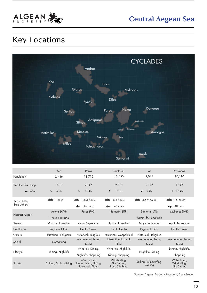

## Key Locations



|                                | Kea                           | Paros                                                     | Santorini                                      | $\log$                           | Mykonos                                     |
|--------------------------------|-------------------------------|-----------------------------------------------------------|------------------------------------------------|----------------------------------|---------------------------------------------|
| Population                     | 2,446                         | 13,715                                                    | 15,550                                         | 2,024                            | 10,110                                      |
| Weather Av. Temp:              | 18 <sup>°</sup>               | $20 C^{\circ}$                                            | $20 C^{\circ}$                                 | $21^\circ$                       | 18 <sup>°</sup>                             |
| Av. Wind:                      | 6 kts<br>$\ddot{\phantom{1}}$ | $10$ kts<br>$\blacktriangle$                              | $12$ kts                                       | $\angle$ 2 kts                   | $\angle$ 13 kts                             |
| Accessibility<br>(from Athens) | ∸<br>1 hour                   | 2.5-5 hours<br>∸                                          | 5-8 hours                                      | 4.5-9 hours                      | $\triangleq$ 3-5 hours                      |
|                                |                               | 45 mins                                                   | 45 mins                                        |                                  | $\leftarrow$ 40 mins                        |
| <b>Nearest Airport</b>         | Athens (ATH)                  | Paros (PAS)                                               | Santorini (JTR)                                | Santorini (JTR)                  | Mykonos (JMK)                               |
|                                | 1 hour boat ride              |                                                           |                                                | 35min. fast boat ride            |                                             |
| Season                         | March - November              | May - September                                           | April - November                               | May - September                  | April - November                            |
| Healthcare                     | Regional Clinic               | <b>Health Center</b>                                      | <b>Health Center</b>                           | Regional Clinic                  | <b>Health Center</b>                        |
| Culture                        | Historical, Religious         | Historical, Religious                                     | Historical, Geopolitical                       | Historical, Religious            |                                             |
| Social                         | International                 | International, Local,<br>Quiet                            | International, Local,<br>Quiet                 | International, Local,<br>Quiet   | International, Local,<br>Quiet              |
| Lifestyle                      | Dining, Nightlife             | Wineries, Dining,                                         | Wineries, Nightlife,                           | Nightlife, Dining                | Dining, Nightlife,                          |
|                                |                               | Nightlife, Shopping                                       | Dining, Shopping                               |                                  | Shopping                                    |
| Sports                         | Sailing, Scuba diving         | Windsurfing,<br>Scuba diving, Hiking,<br>Horseback Riding | Windsurfing,<br>Kite Surfing,<br>Rock Climbing | Sailing, Windsurfing,<br>Cycling | Waterskiing,<br>Windurfing,<br>Kite Surfing |

Source: Algean Property Research, Seez Travel